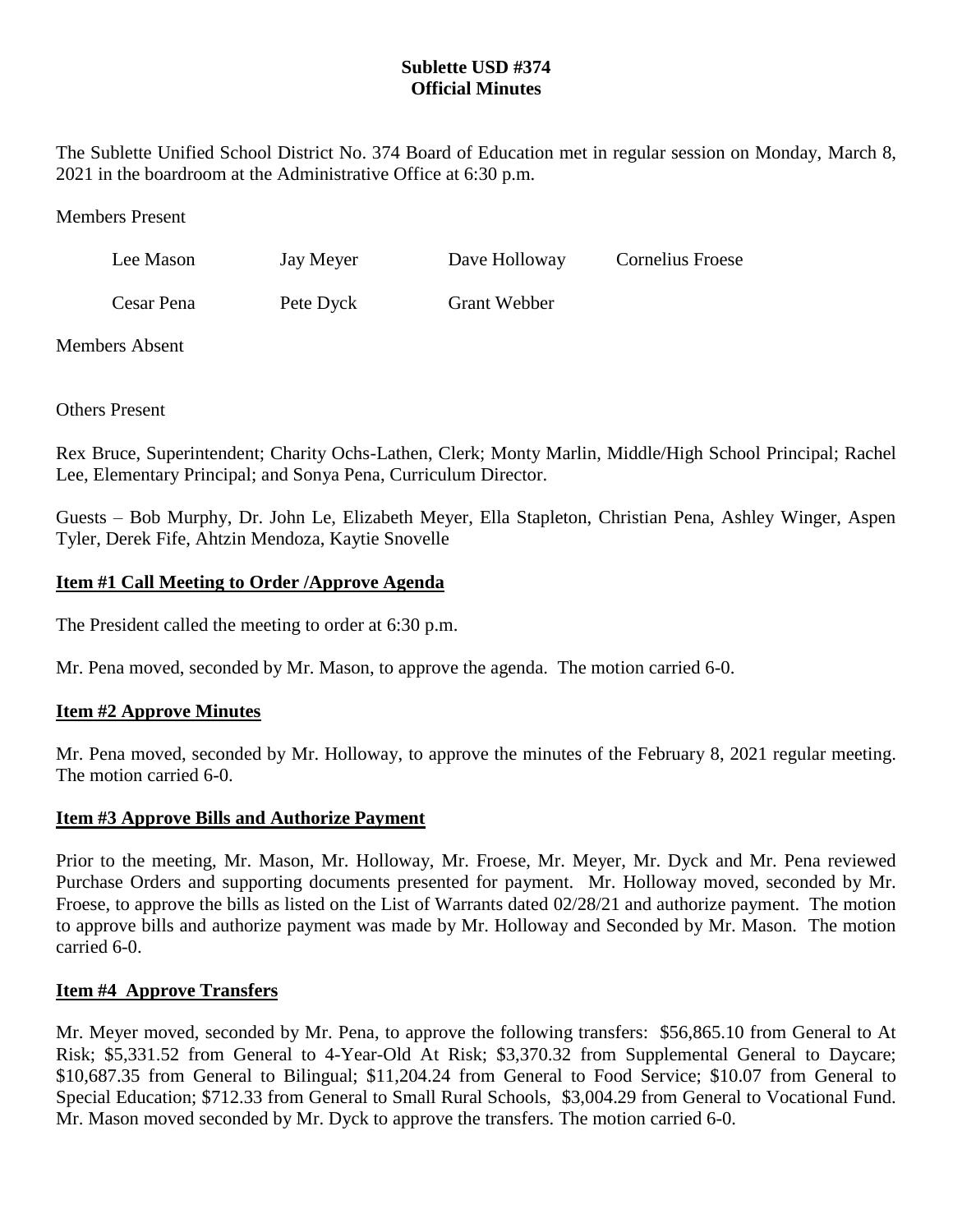## **Sublette USD #374 Official Minutes**

The Sublette Unified School District No. 374 Board of Education met in regular session on Monday, March 8, 2021 in the boardroom at the Administrative Office at 6:30 p.m.

Members Present

| Lee Mason | Jay Meyer | Dave Holloway | <b>Cornelius Froese</b> |
|-----------|-----------|---------------|-------------------------|
|           |           |               |                         |

Cesar Pena Pete Dyck Grant Webber

Members Absent

Others Present

Rex Bruce, Superintendent; Charity Ochs-Lathen, Clerk; Monty Marlin, Middle/High School Principal; Rachel Lee, Elementary Principal; and Sonya Pena, Curriculum Director.

Guests – Bob Murphy, Dr. John Le, Elizabeth Meyer, Ella Stapleton, Christian Pena, Ashley Winger, Aspen Tyler, Derek Fife, Ahtzin Mendoza, Kaytie Snovelle

# **Item #1 Call Meeting to Order /Approve Agenda**

The President called the meeting to order at 6:30 p.m.

Mr. Pena moved, seconded by Mr. Mason, to approve the agenda. The motion carried 6-0.

# **Item #2 Approve Minutes**

Mr. Pena moved, seconded by Mr. Holloway, to approve the minutes of the February 8, 2021 regular meeting. The motion carried 6-0.

## **Item #3 Approve Bills and Authorize Payment**

Prior to the meeting, Mr. Mason, Mr. Holloway, Mr. Froese, Mr. Meyer, Mr. Dyck and Mr. Pena reviewed Purchase Orders and supporting documents presented for payment. Mr. Holloway moved, seconded by Mr. Froese, to approve the bills as listed on the List of Warrants dated 02/28/21 and authorize payment. The motion to approve bills and authorize payment was made by Mr. Holloway and Seconded by Mr. Mason. The motion carried 6-0.

## **Item #4 Approve Transfers**

Mr. Meyer moved, seconded by Mr. Pena, to approve the following transfers: \$56,865.10 from General to At Risk; \$5,331.52 from General to 4-Year-Old At Risk; \$3,370.32 from Supplemental General to Daycare; \$10,687.35 from General to Bilingual; \$11,204.24 from General to Food Service; \$10.07 from General to Special Education; \$712.33 from General to Small Rural Schools, \$3,004.29 from General to Vocational Fund. Mr. Mason moved seconded by Mr. Dyck to approve the transfers. The motion carried 6-0.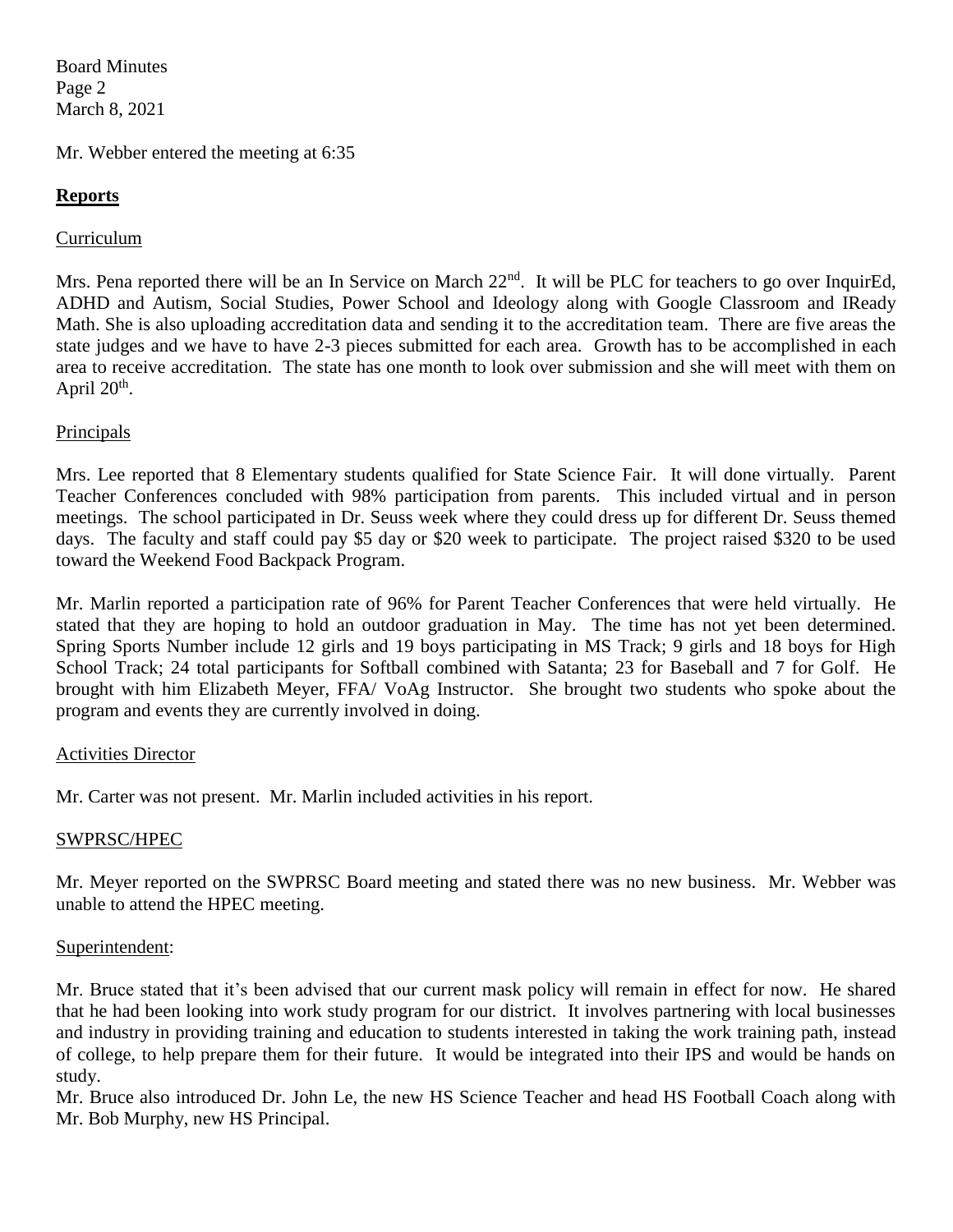Board Minutes Page 2 March 8, 2021

Mr. Webber entered the meeting at 6:35

## **Reports**

### Curriculum

Mrs. Pena reported there will be an In Service on March 22<sup>nd</sup>. It will be PLC for teachers to go over InquirEd, ADHD and Autism, Social Studies, Power School and Ideology along with Google Classroom and IReady Math. She is also uploading accreditation data and sending it to the accreditation team. There are five areas the state judges and we have to have 2-3 pieces submitted for each area. Growth has to be accomplished in each area to receive accreditation. The state has one month to look over submission and she will meet with them on April  $20<sup>th</sup>$ .

## Principals

Mrs. Lee reported that 8 Elementary students qualified for State Science Fair. It will done virtually. Parent Teacher Conferences concluded with 98% participation from parents. This included virtual and in person meetings. The school participated in Dr. Seuss week where they could dress up for different Dr. Seuss themed days. The faculty and staff could pay \$5 day or \$20 week to participate. The project raised \$320 to be used toward the Weekend Food Backpack Program.

Mr. Marlin reported a participation rate of 96% for Parent Teacher Conferences that were held virtually. He stated that they are hoping to hold an outdoor graduation in May. The time has not yet been determined. Spring Sports Number include 12 girls and 19 boys participating in MS Track; 9 girls and 18 boys for High School Track; 24 total participants for Softball combined with Satanta; 23 for Baseball and 7 for Golf. He brought with him Elizabeth Meyer, FFA/ VoAg Instructor. She brought two students who spoke about the program and events they are currently involved in doing.

#### Activities Director

Mr. Carter was not present. Mr. Marlin included activities in his report.

## SWPRSC/HPEC

Mr. Meyer reported on the SWPRSC Board meeting and stated there was no new business. Mr. Webber was unable to attend the HPEC meeting.

## Superintendent:

Mr. Bruce stated that it's been advised that our current mask policy will remain in effect for now. He shared that he had been looking into work study program for our district. It involves partnering with local businesses and industry in providing training and education to students interested in taking the work training path, instead of college, to help prepare them for their future. It would be integrated into their IPS and would be hands on study.

Mr. Bruce also introduced Dr. John Le, the new HS Science Teacher and head HS Football Coach along with Mr. Bob Murphy, new HS Principal.